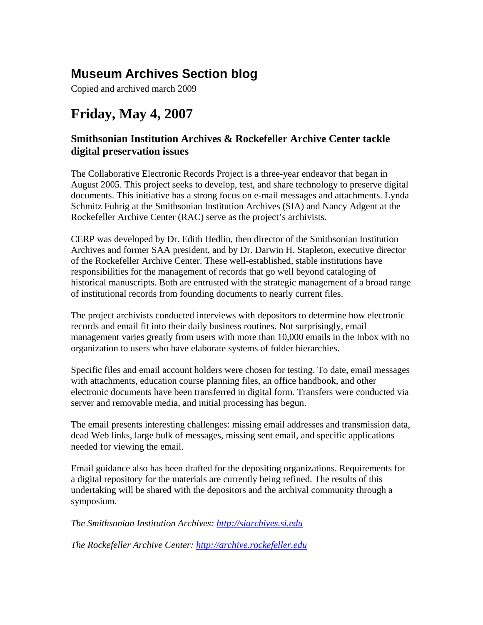## **Museum Archives Section blog**

Copied and archived march 2009

# **Friday, May 4, 2007**

## **Smithsonian Institution Archives & Rockefeller Archive Center tackle digital preservation issues**

The Collaborative Electronic Records Project is a three-year endeavor that began in August 2005. This project seeks to develop, test, and share technology to preserve digital documents. This initiative has a strong focus on e-mail messages and attachments. Lynda Schmitz Fuhrig at the Smithsonian Institution Archives (SIA) and Nancy Adgent at the Rockefeller Archive Center (RAC) serve as the project's archivists.

CERP was developed by Dr. Edith Hedlin, then director of the Smithsonian Institution Archives and former SAA president, and by Dr. Darwin H. Stapleton, executive director of the Rockefeller Archive Center. These well-established, stable institutions have responsibilities for the management of records that go well beyond cataloging of historical manuscripts. Both are entrusted with the strategic management of a broad range of institutional records from founding documents to nearly current files.

The project archivists conducted interviews with depositors to determine how electronic records and email fit into their daily business routines. Not surprisingly, email management varies greatly from users with more than 10,000 emails in the Inbox with no organization to users who have elaborate systems of folder hierarchies.

Specific files and email account holders were chosen for testing. To date, email messages with attachments, education course planning files, an office handbook, and other electronic documents have been transferred in digital form. Transfers were conducted via server and removable media, and initial processing has begun.

The email presents interesting challenges: missing email addresses and transmission data, dead Web links, large bulk of messages, missing sent email, and specific applications needed for viewing the email.

Email guidance also has been drafted for the depositing organizations. Requirements for a digital repository for the materials are currently being refined. The results of this undertaking will be shared with the depositors and the archival community through a symposium.

*The Smithsonian Institution Archives: http://siarchives.si.edu*

*The Rockefeller Archive Center: http://archive.rockefeller.edu*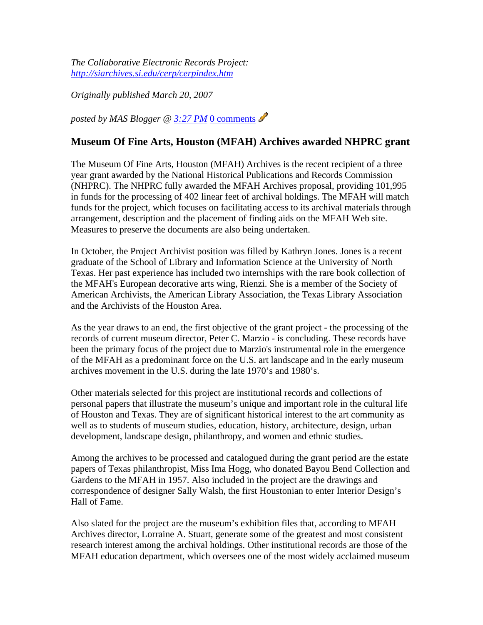*The Collaborative Electronic Records Project: http://siarchives.si.edu/cerp/cerpindex.htm*

*Originally published March 20, 2007*

*posted by MAS Blogger @ 3:27 PM* 0 comments

## **Museum Of Fine Arts, Houston (MFAH) Archives awarded NHPRC grant**

The Museum Of Fine Arts, Houston (MFAH) Archives is the recent recipient of a three year grant awarded by the National Historical Publications and Records Commission (NHPRC). The NHPRC fully awarded the MFAH Archives proposal, providing 101,995 in funds for the processing of 402 linear feet of archival holdings. The MFAH will match funds for the project, which focuses on facilitating access to its archival materials through arrangement, description and the placement of finding aids on the MFAH Web site. Measures to preserve the documents are also being undertaken.

In October, the Project Archivist position was filled by Kathryn Jones. Jones is a recent graduate of the School of Library and Information Science at the University of North Texas. Her past experience has included two internships with the rare book collection of the MFAH's European decorative arts wing, Rienzi. She is a member of the Society of American Archivists, the American Library Association, the Texas Library Association and the Archivists of the Houston Area.

As the year draws to an end, the first objective of the grant project - the processing of the records of current museum director, Peter C. Marzio - is concluding. These records have been the primary focus of the project due to Marzio's instrumental role in the emergence of the MFAH as a predominant force on the U.S. art landscape and in the early museum archives movement in the U.S. during the late 1970's and 1980's.

Other materials selected for this project are institutional records and collections of personal papers that illustrate the museum's unique and important role in the cultural life of Houston and Texas. They are of significant historical interest to the art community as well as to students of museum studies, education, history, architecture, design, urban development, landscape design, philanthropy, and women and ethnic studies.

Among the archives to be processed and catalogued during the grant period are the estate papers of Texas philanthropist, Miss Ima Hogg, who donated Bayou Bend Collection and Gardens to the MFAH in 1957. Also included in the project are the drawings and correspondence of designer Sally Walsh, the first Houstonian to enter Interior Design's Hall of Fame.

Also slated for the project are the museum's exhibition files that, according to MFAH Archives director, Lorraine A. Stuart, generate some of the greatest and most consistent research interest among the archival holdings. Other institutional records are those of the MFAH education department, which oversees one of the most widely acclaimed museum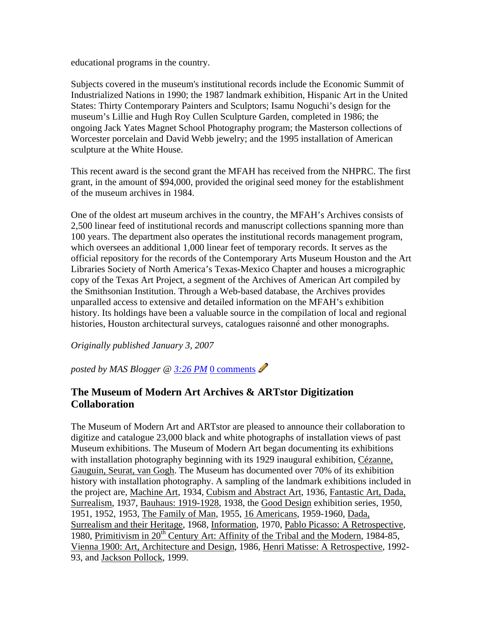educational programs in the country.

Subjects covered in the museum's institutional records include the Economic Summit of Industrialized Nations in 1990; the 1987 landmark exhibition, Hispanic Art in the United States: Thirty Contemporary Painters and Sculptors; Isamu Noguchi's design for the museum's Lillie and Hugh Roy Cullen Sculpture Garden, completed in 1986; the ongoing Jack Yates Magnet School Photography program; the Masterson collections of Worcester porcelain and David Webb jewelry; and the 1995 installation of American sculpture at the White House.

This recent award is the second grant the MFAH has received from the NHPRC. The first grant, in the amount of \$94,000, provided the original seed money for the establishment of the museum archives in 1984.

One of the oldest art museum archives in the country, the MFAH's Archives consists of 2,500 linear feed of institutional records and manuscript collections spanning more than 100 years. The department also operates the institutional records management program, which oversees an additional 1,000 linear feet of temporary records. It serves as the official repository for the records of the Contemporary Arts Museum Houston and the Art Libraries Society of North America's Texas-Mexico Chapter and houses a micrographic copy of the Texas Art Project, a segment of the Archives of American Art compiled by the Smithsonian Institution. Through a Web-based database, the Archives provides unparalled access to extensive and detailed information on the MFAH's exhibition history. Its holdings have been a valuable source in the compilation of local and regional histories, Houston architectural surveys, catalogues raisonné and other monographs.

*Originally published January 3, 2007*

*posted by MAS Blogger @ 3:26 PM* 0 comments

## **The Museum of Modern Art Archives & ARTstor Digitization Collaboration**

The Museum of Modern Art and ARTstor are pleased to announce their collaboration to digitize and catalogue 23,000 black and white photographs of installation views of past Museum exhibitions. The Museum of Modern Art began documenting its exhibitions with installation photography beginning with its 1929 inaugural exhibition, Cézanne, Gauguin, Seurat, van Gogh. The Museum has documented over 70% of its exhibition history with installation photography. A sampling of the landmark exhibitions included in the project are, Machine Art, 1934, Cubism and Abstract Art, 1936, Fantastic Art, Dada, Surrealism, 1937, Bauhaus: 1919-1928, 1938, the Good Design exhibition series, 1950, 1951, 1952, 1953, The Family of Man, 1955, 16 Americans, 1959-1960, Dada, Surrealism and their Heritage, 1968, Information, 1970, Pablo Picasso: A Retrospective, 1980, Primitivism in  $20^{th}$  Century Art: Affinity of the Tribal and the Modern, 1984-85, Vienna 1900: Art, Architecture and Design, 1986, Henri Matisse: A Retrospective, 1992- 93, and Jackson Pollock, 1999.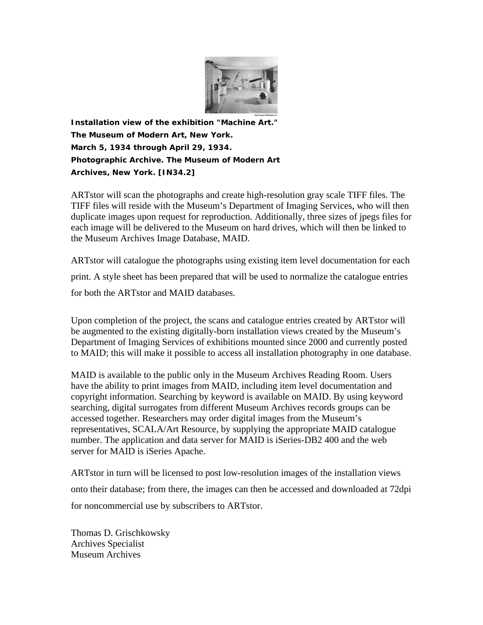

*Installation view of the exhibition "Machine Art." The Museum of Modern Art, New York. March 5, 1934 through April 29, 1934. Photographic Archive. The Museum of Modern Art Archives, New York. [IN34.2]*

ARTstor will scan the photographs and create high-resolution gray scale TIFF files. The TIFF files will reside with the Museum's Department of Imaging Services, who will then duplicate images upon request for reproduction. Additionally, three sizes of jpegs files for each image will be delivered to the Museum on hard drives, which will then be linked to the Museum Archives Image Database, MAID.

ARTstor will catalogue the photographs using existing item level documentation for each print. A style sheet has been prepared that will be used to normalize the catalogue entries for both the ARTstor and MAID databases.

Upon completion of the project, the scans and catalogue entries created by ARTstor will be augmented to the existing digitally-born installation views created by the Museum's Department of Imaging Services of exhibitions mounted since 2000 and currently posted to MAID; this will make it possible to access all installation photography in one database.

MAID is available to the public only in the Museum Archives Reading Room. Users have the ability to print images from MAID, including item level documentation and copyright information. Searching by keyword is available on MAID. By using keyword searching, digital surrogates from different Museum Archives records groups can be accessed together. Researchers may order digital images from the Museum's representatives, SCALA/Art Resource, by supplying the appropriate MAID catalogue number. The application and data server for MAID is iSeries-DB2 400 and the web server for MAID is iSeries Apache.

ARTstor in turn will be licensed to post low-resolution images of the installation views onto their database; from there, the images can then be accessed and downloaded at 72dpi for noncommercial use by subscribers to ARTstor.

Thomas D. Grischkowsky Archives Specialist Museum Archives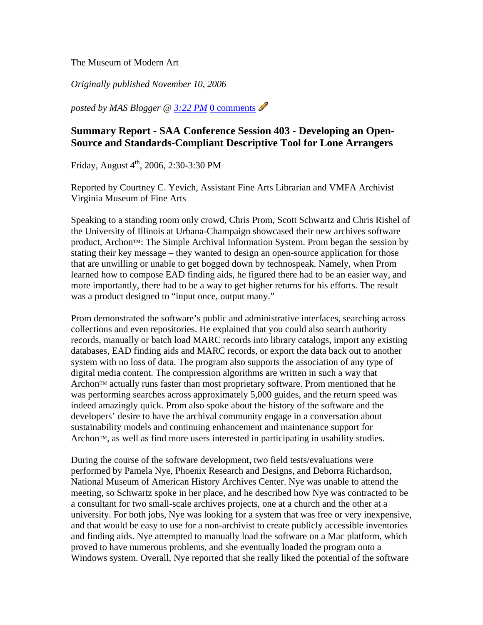The Museum of Modern Art

*Originally published November 10, 2006*

*posted by MAS Blogger @ 3:22 PM* 0 comments

## **Summary Report - SAA Conference Session 403 - Developing an Open-Source and Standards-Compliant Descriptive Tool for Lone Arrangers**

Friday, August  $4^{th}$ , 2006, 2:30-3:30 PM

Reported by Courtney C. Yevich, Assistant Fine Arts Librarian and VMFA Archivist Virginia Museum of Fine Arts

Speaking to a standing room only crowd, Chris Prom, Scott Schwartz and Chris Rishel of the University of Illinois at Urbana-Champaign showcased their new archives software product, Archon™: The Simple Archival Information System. Prom began the session by stating their key message – they wanted to design an open-source application for those that are unwilling or unable to get bogged down by technospeak. Namely, when Prom learned how to compose EAD finding aids, he figured there had to be an easier way, and more importantly, there had to be a way to get higher returns for his efforts. The result was a product designed to "input once, output many."

Prom demonstrated the software's public and administrative interfaces, searching across collections and even repositories. He explained that you could also search authority records, manually or batch load MARC records into library catalogs, import any existing databases, EAD finding aids and MARC records, or export the data back out to another system with no loss of data. The program also supports the association of any type of digital media content. The compression algorithms are written in such a way that Archon™ actually runs faster than most proprietary software. Prom mentioned that he was performing searches across approximately 5,000 guides, and the return speed was indeed amazingly quick. Prom also spoke about the history of the software and the developers' desire to have the archival community engage in a conversation about sustainability models and continuing enhancement and maintenance support for Archon™, as well as find more users interested in participating in usability studies.

During the course of the software development, two field tests/evaluations were performed by Pamela Nye, Phoenix Research and Designs, and Deborra Richardson, National Museum of American History Archives Center. Nye was unable to attend the meeting, so Schwartz spoke in her place, and he described how Nye was contracted to be a consultant for two small-scale archives projects, one at a church and the other at a university. For both jobs, Nye was looking for a system that was free or very inexpensive, and that would be easy to use for a non-archivist to create publicly accessible inventories and finding aids. Nye attempted to manually load the software on a Mac platform, which proved to have numerous problems, and she eventually loaded the program onto a Windows system. Overall, Nye reported that she really liked the potential of the software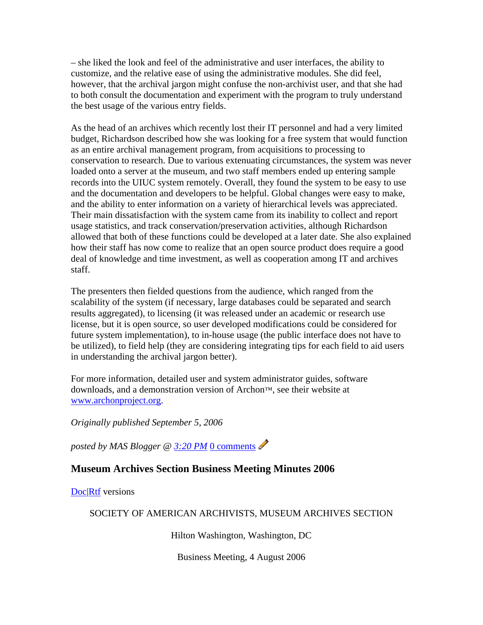– she liked the look and feel of the administrative and user interfaces, the ability to customize, and the relative ease of using the administrative modules. She did feel, however, that the archival jargon might confuse the non-archivist user, and that she had to both consult the documentation and experiment with the program to truly understand the best usage of the various entry fields.

As the head of an archives which recently lost their IT personnel and had a very limited budget, Richardson described how she was looking for a free system that would function as an entire archival management program, from acquisitions to processing to conservation to research. Due to various extenuating circumstances, the system was never loaded onto a server at the museum, and two staff members ended up entering sample records into the UIUC system remotely. Overall, they found the system to be easy to use and the documentation and developers to be helpful. Global changes were easy to make, and the ability to enter information on a variety of hierarchical levels was appreciated. Their main dissatisfaction with the system came from its inability to collect and report usage statistics, and track conservation/preservation activities, although Richardson allowed that both of these functions could be developed at a later date. She also explained how their staff has now come to realize that an open source product does require a good deal of knowledge and time investment, as well as cooperation among IT and archives staff.

The presenters then fielded questions from the audience, which ranged from the scalability of the system (if necessary, large databases could be separated and search results aggregated), to licensing (it was released under an academic or research use license, but it is open source, so user developed modifications could be considered for future system implementation), to in-house usage (the public interface does not have to be utilized), to field help (they are considering integrating tips for each field to aid users in understanding the archival jargon better).

For more information, detailed user and system administrator guides, software downloads, and a demonstration version of Archon™, see their website at www.archonproject.org.

*Originally published September 5, 2006*

*posted by MAS Blogger @ 3:20 PM* 0 comments

## **Museum Archives Section Business Meeting Minutes 2006**

Doc|Rtf versions

SOCIETY OF AMERICAN ARCHIVISTS, MUSEUM ARCHIVES SECTION

Hilton Washington, Washington, DC

Business Meeting, 4 August 2006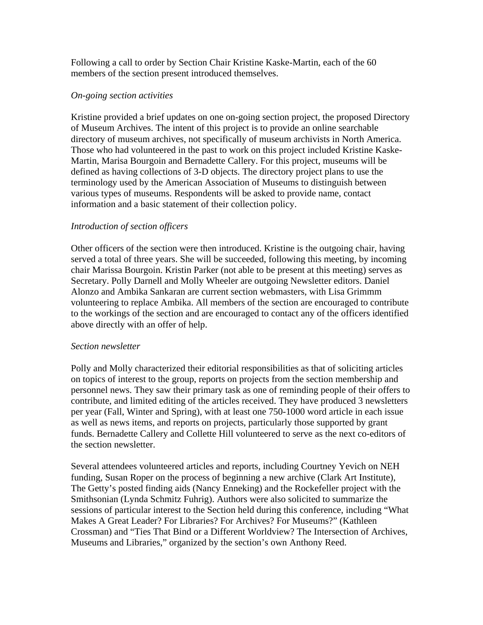Following a call to order by Section Chair Kristine Kaske-Martin, each of the 60 members of the section present introduced themselves.

#### *On-going section activities*

Kristine provided a brief updates on one on-going section project, the proposed Directory of Museum Archives. The intent of this project is to provide an online searchable directory of museum archives, not specifically of museum archivists in North America. Those who had volunteered in the past to work on this project included Kristine Kaske-Martin, Marisa Bourgoin and Bernadette Callery. For this project, museums will be defined as having collections of 3-D objects. The directory project plans to use the terminology used by the American Association of Museums to distinguish between various types of museums. Respondents will be asked to provide name, contact information and a basic statement of their collection policy.

#### *Introduction of section officers*

Other officers of the section were then introduced. Kristine is the outgoing chair, having served a total of three years. She will be succeeded, following this meeting, by incoming chair Marissa Bourgoin. Kristin Parker (not able to be present at this meeting) serves as Secretary. Polly Darnell and Molly Wheeler are outgoing Newsletter editors. Daniel Alonzo and Ambika Sankaran are current section webmasters, with Lisa Grimmm volunteering to replace Ambika. All members of the section are encouraged to contribute to the workings of the section and are encouraged to contact any of the officers identified above directly with an offer of help.

#### *Section newsletter*

Polly and Molly characterized their editorial responsibilities as that of soliciting articles on topics of interest to the group, reports on projects from the section membership and personnel news. They saw their primary task as one of reminding people of their offers to contribute, and limited editing of the articles received. They have produced 3 newsletters per year (Fall, Winter and Spring), with at least one 750-1000 word article in each issue as well as news items, and reports on projects, particularly those supported by grant funds. Bernadette Callery and Collette Hill volunteered to serve as the next co-editors of the section newsletter.

Several attendees volunteered articles and reports, including Courtney Yevich on NEH funding, Susan Roper on the process of beginning a new archive (Clark Art Institute), The Getty's posted finding aids (Nancy Enneking) and the Rockefeller project with the Smithsonian (Lynda Schmitz Fuhrig). Authors were also solicited to summarize the sessions of particular interest to the Section held during this conference, including "What Makes A Great Leader? For Libraries? For Archives? For Museums?" (Kathleen Crossman) and "Ties That Bind or a Different Worldview? The Intersection of Archives, Museums and Libraries," organized by the section's own Anthony Reed.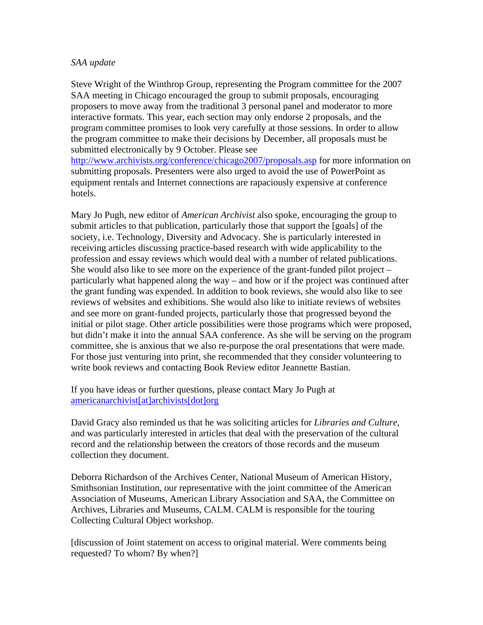#### *SAA update*

Steve Wright of the Winthrop Group, representing the Program committee for the 2007 SAA meeting in Chicago encouraged the group to submit proposals, encouraging proposers to move away from the traditional 3 personal panel and moderator to more interactive formats. This year, each section may only endorse 2 proposals, and the program committee promises to look very carefully at those sessions. In order to allow the program committee to make their decisions by December, all proposals must be submitted electronically by 9 October. Please see http://www.archivists.org/conference/chicago2007/proposals.asp for more information on submitting proposals. Presenters were also urged to avoid the use of PowerPoint as equipment rentals and Internet connections are rapaciously expensive at conference hotels.

Mary Jo Pugh, new editor of *American Archivist* also spoke, encouraging the group to submit articles to that publication, particularly those that support the [goals] of the society, i.e. Technology, Diversity and Advocacy. She is particularly interested in receiving articles discussing practice-based research with wide applicability to the profession and essay reviews which would deal with a number of related publications. She would also like to see more on the experience of the grant-funded pilot project – particularly what happened along the way – and how or if the project was continued after the grant funding was expended. In addition to book reviews, she would also like to see reviews of websites and exhibitions. She would also like to initiate reviews of websites and see more on grant-funded projects, particularly those that progressed beyond the initial or pilot stage. Other article possibilities were those programs which were proposed, but didn't make it into the annual SAA conference. As she will be serving on the program committee, she is anxious that we also re-purpose the oral presentations that were made. For those just venturing into print, she recommended that they consider volunteering to write book reviews and contacting Book Review editor Jeannette Bastian.

If you have ideas or further questions, please contact Mary Jo Pugh at americanarchivist[at]archivists[dot]org

David Gracy also reminded us that he was soliciting articles for *Libraries and Culture*, and was particularly interested in articles that deal with the preservation of the cultural record and the relationship between the creators of those records and the museum collection they document.

Deborra Richardson of the Archives Center, National Museum of American History, Smithsonian Institution, our representative with the joint committee of the American Association of Museums, American Library Association and SAA, the Committee on Archives, Libraries and Museums, CALM. CALM is responsible for the touring Collecting Cultural Object workshop.

[discussion of Joint statement on access to original material. Were comments being requested? To whom? By when?]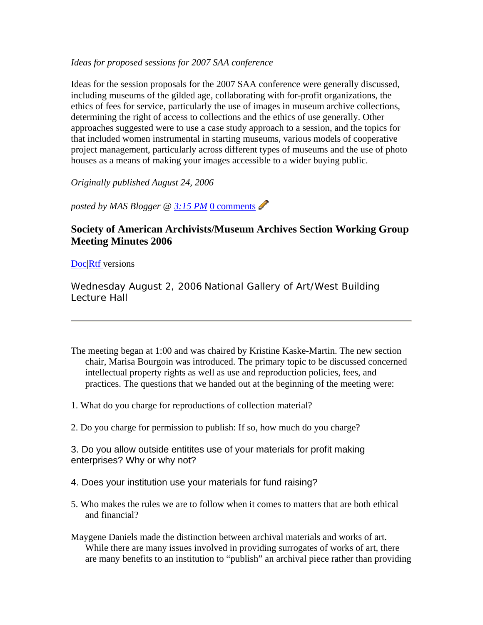#### *Ideas for proposed sessions for 2007 SAA conference*

Ideas for the session proposals for the 2007 SAA conference were generally discussed, including museums of the gilded age, collaborating with for-profit organizations, the ethics of fees for service, particularly the use of images in museum archive collections, determining the right of access to collections and the ethics of use generally. Other approaches suggested were to use a case study approach to a session, and the topics for that included women instrumental in starting museums, various models of cooperative project management, particularly across different types of museums and the use of photo houses as a means of making your images accessible to a wider buying public.

*Originally published August 24, 2006*

*posted by MAS Blogger @ 3:15 PM* 0 comments

## **Society of American Archivists/Museum Archives Section Working Group Meeting Minutes 2006**

#### Doc Rtf versions

*Wednesday August 2, 2006 National Gallery of Art/West Building Lecture Hall*

- The meeting began at 1:00 and was chaired by Kristine Kaske-Martin. The new section chair, Marisa Bourgoin was introduced. The primary topic to be discussed concerned intellectual property rights as well as use and reproduction policies, fees, and practices. The questions that we handed out at the beginning of the meeting were:
- 1. What do you charge for reproductions of collection material?
- 2. Do you charge for permission to publish: If so, how much do you charge?

3. Do you allow outside entitites use of your materials for profit making enterprises? Why or why not?

- 4. Does your institution use your materials for fund raising?
- 5. Who makes the rules we are to follow when it comes to matters that are both ethical and financial?
- Maygene Daniels made the distinction between archival materials and works of art. While there are many issues involved in providing surrogates of works of art, there are many benefits to an institution to "publish" an archival piece rather than providing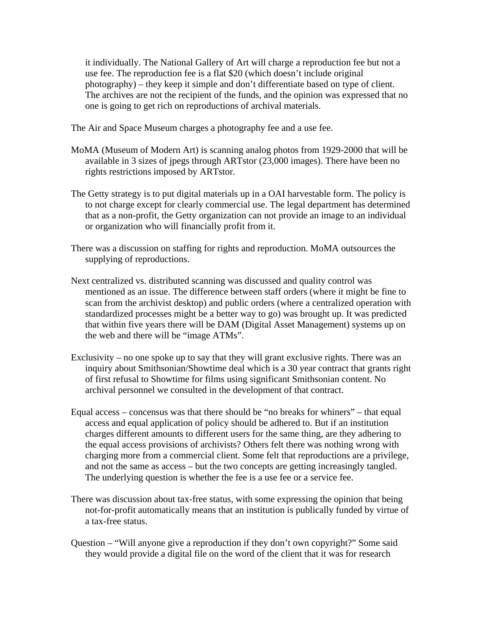it individually. The National Gallery of Art will charge a reproduction fee but not a use fee. The reproduction fee is a flat \$20 (which doesn't include original photography) – they keep it simple and don't differentiate based on type of client. The archives are not the recipient of the funds, and the opinion was expressed that no one is going to get rich on reproductions of archival materials.

The Air and Space Museum charges a photography fee and a use fee.

- MoMA (Museum of Modern Art) is scanning analog photos from 1929-2000 that will be available in 3 sizes of jpegs through ARTstor (23,000 images). There have been no rights restrictions imposed by ARTstor.
- The Getty strategy is to put digital materials up in a OAI harvestable form. The policy is to not charge except for clearly commercial use. The legal department has determined that as a non-profit, the Getty organization can not provide an image to an individual or organization who will financially profit from it.
- There was a discussion on staffing for rights and reproduction. MoMA outsources the supplying of reproductions.
- Next centralized vs. distributed scanning was discussed and quality control was mentioned as an issue. The difference between staff orders (where it might be fine to scan from the archivist desktop) and public orders (where a centralized operation with standardized processes might be a better way to go) was brought up. It was predicted that within five years there will be DAM (Digital Asset Management) systems up on the web and there will be "image ATMs".
- Exclusivity no one spoke up to say that they will grant exclusive rights. There was an inquiry about Smithsonian/Showtime deal which is a 30 year contract that grants right of first refusal to Showtime for films using significant Smithsonian content. No archival personnel we consulted in the development of that contract.
- Equal access concensus was that there should be "no breaks for whiners" that equal access and equal application of policy should be adhered to. But if an institution charges different amounts to different users for the same thing, are they adhering to the equal access provisions of archivists? Others felt there was nothing wrong with charging more from a commercial client. Some felt that reproductions are a privilege, and not the same as access – but the two concepts are getting increasingly tangled. The underlying question is whether the fee is a use fee or a service fee.
- There was discussion about tax-free status, with some expressing the opinion that being not-for-profit automatically means that an institution is publically funded by virtue of a tax-free status.
- Question "Will anyone give a reproduction if they don't own copyright?" Some said they would provide a digital file on the word of the client that it was for research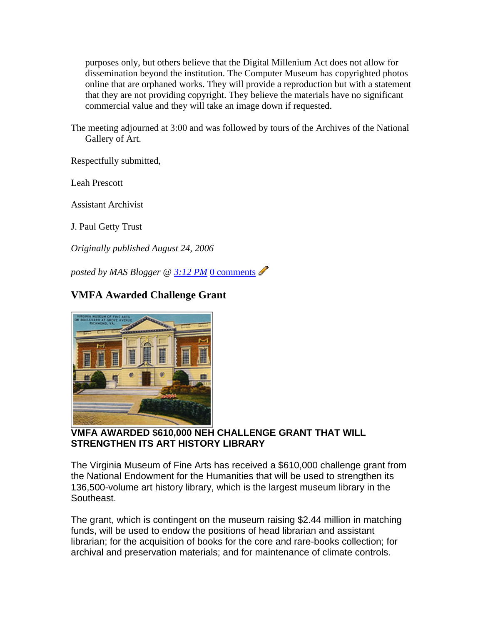purposes only, but others believe that the Digital Millenium Act does not allow for dissemination beyond the institution. The Computer Museum has copyrighted photos online that are orphaned works. They will provide a reproduction but with a statement that they are not providing copyright. They believe the materials have no significant commercial value and they will take an image down if requested.

The meeting adjourned at 3:00 and was followed by tours of the Archives of the National Gallery of Art.

Respectfully submitted,

Leah Prescott

Assistant Archivist

J. Paul Getty Trust

*Originally published August 24, 2006*

*posted by MAS Blogger @ 3:12 PM* 0 comments

## **VMFA Awarded Challenge Grant**



#### **VMFA AWARDED \$610,000 NEH CHALLENGE GRANT THAT WILL STRENGTHEN ITS ART HISTORY LIBRARY**

The Virginia Museum of Fine Arts has received a \$610,000 challenge grant from the National Endowment for the Humanities that will be used to strengthen its 136,500-volume art history library, which is the largest museum library in the Southeast.

The grant, which is contingent on the museum raising \$2.44 million in matching funds, will be used to endow the positions of head librarian and assistant librarian; for the acquisition of books for the core and rare-books collection; for archival and preservation materials; and for maintenance of climate controls.